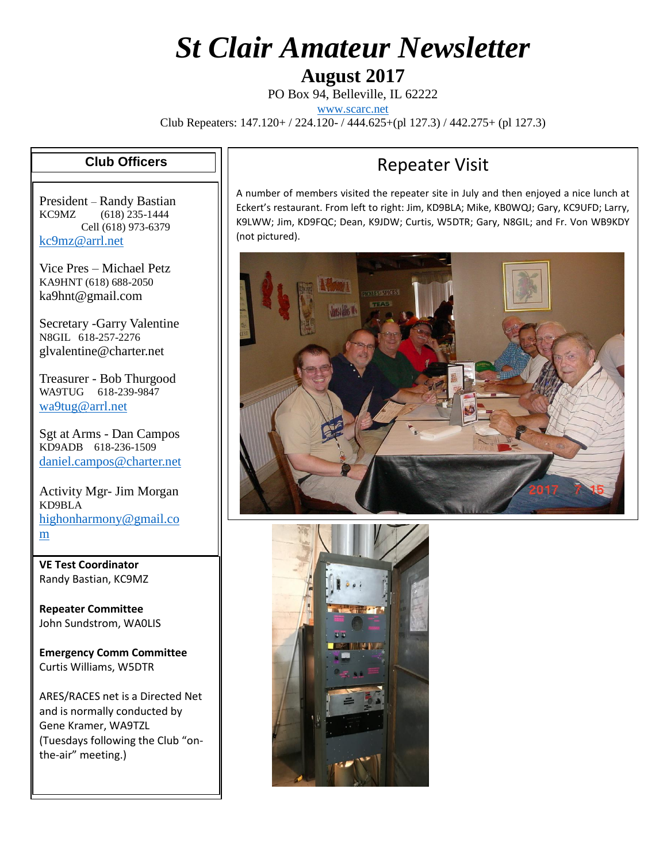# *St Clair Amateur Newsletter*

**August 2017**

PO Box 94, Belleville, IL 62222

[www.scarc.net](http://www.scarc.net/)

Club Repeaters: 147.120+ / 224.120- / 444.625+(pl 127.3) / 442.275+ (pl 127.3)

#### **Club Officers**

President – Randy Bastian KC9MZ (618) 235-1444 Cell (618) 973-6379 [kc9mz@arrl.net](mailto:kc9mz@arrl.net)

Vice Pres – Michael Petz KA9HNT (618) 688-2050 ka9hnt@gmail.com

Secretary -Garry Valentine N8GIL 618-257-2276 glvalentine@charter.net

Treasurer - Bob Thurgood WA9TUG 618-239-9847 [wa9tug@arrl.net](mailto:wa9tug@arrl.net)

Sgt at Arms - Dan Campos KD9ADB 618-236-1509 [daniel.campos@charter.net](mailto:daniel.campos@charter.net)

Activity Mgr- Jim Morgan KD9BLA [highonharmony@gmail.co](mailto:highonharmony@gmail.com) [m](mailto:highonharmony@gmail.com)

**VE Test Coordinator** Randy Bastian, KC9MZ

**Repeater Committee** John Sundstrom, WA0LIS

**Emergency Comm Committee** Curtis Williams, W5DTR

ARES/RACES net is a Directed Net and is normally conducted by Gene Kramer, WA9TZL (Tuesdays following the Club "onthe-air" meeting.)

#### Repeater Visit

A number of members visited the repeater site in July and then enjoyed a nice lunch at Eckert's restaurant. From left to right: Jim, KD9BLA; Mike, KB0WQJ; Gary, KC9UFD; Larry, K9LWW; Jim, KD9FQC; Dean, K9JDW; Curtis, W5DTR; Gary, N8GIL; and Fr. Von WB9KDY (not pictured).



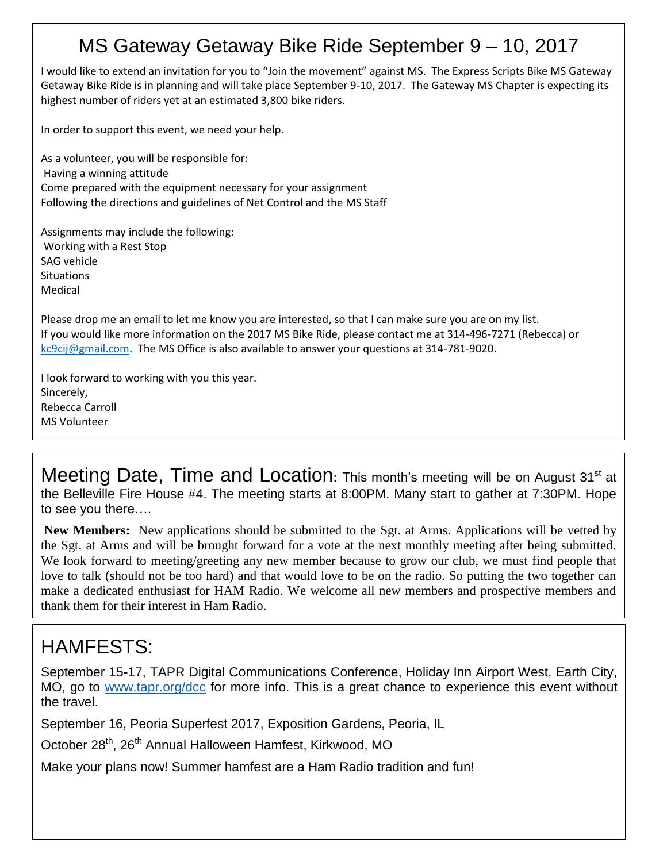#### MS Gateway Getaway Bike Ride September 9 – 10, 2017

I would like to extend an invitation for you to "Join the movement" against MS. The Express Scripts Bike MS Gateway Getaway Bike Ride is in planning and will take place September 9-10, 2017. The Gateway MS Chapter is expecting its highest number of riders yet at an estimated 3,800 bike riders.

In order to support this event, we need your help.

As a volunteer, you will be responsible for: Having a winning attitude Come prepared with the equipment necessary for your assignment Following the directions and guidelines of Net Control and the MS Staff

Assignments may include the following: Working with a Rest Stop SAG vehicle **Situations** Medical

Please drop me an email to let me know you are interested, so that I can make sure you are on my list. If you would like more information on the 2017 MS Bike Ride, please contact me at 314-496-7271 (Rebecca) or [kc9cij@gmail.com.](mailto:kc9cij@gmail.com) The MS Office is also available to answer your questions at 314-781-9020.

I look forward to working with you this year. Sincerely, Rebecca Carroll MS Volunteer

Meeting Date, Time and Location: This month's meeting will be on August 31<sup>st</sup> at the Belleville Fire House #4. The meeting starts at 8:00PM. Many start to gather at 7:30PM. Hope to see you there….

**New Members:** New applications should be submitted to the Sgt. at Arms. Applications will be vetted by the Sgt. at Arms and will be brought forward for a vote at the next monthly meeting after being submitted. We look forward to meeting/greeting any new member because to grow our club, we must find people that love to talk (should not be too hard) and that would love to be on the radio. So putting the two together can make a dedicated enthusiast for HAM Radio. We welcome all new members and prospective members and thank them for their interest in Ham Radio.

## HAMFESTS:

September 15-17, TAPR Digital Communications Conference, Holiday Inn Airport West, Earth City, MO, go to [www.tapr.org/dcc](http://www.tapr.org/dcc) for more info. This is a great chance to experience this event without the travel.

September 16, Peoria Superfest 2017, Exposition Gardens, Peoria, IL

October 28<sup>th</sup>, 26<sup>th</sup> Annual Halloween Hamfest, Kirkwood, MO

Make your plans now! Summer hamfest are a Ham Radio tradition and fun!